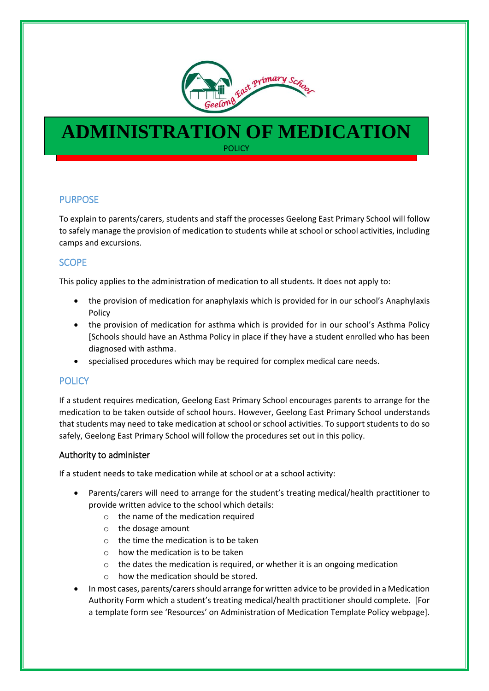

# **ADMINISTRATION OF MEDICATION POLICY**

# PURPOSE

l

To explain to parents/carers, students and staff the processes Geelong East Primary School will follow to safely manage the provision of medication to students while at school or school activities, including camps and excursions.

# **SCOPE**

This policy applies to the administration of medication to all students. It does not apply to:

- the provision of medication for anaphylaxis which is provided for in our school's Anaphylaxis Policy
- the provision of medication for asthma which is provided for in our school's Asthma Policy [Schools should have an Asthma Policy in place if they have a student enrolled who has been diagnosed with asthma.
- specialised procedures which may be required for complex medical care needs.

## **POLICY**

If a student requires medication, Geelong East Primary School encourages parents to arrange for the medication to be taken outside of school hours. However, Geelong East Primary School understands that students may need to take medication at school or school activities. To support students to do so safely, Geelong East Primary School will follow the procedures set out in this policy.

## Authority to administer

If a student needs to take medication while at school or at a school activity:

- Parents/carers will need to arrange for the student's treating medical/health practitioner to provide written advice to the school which details:
	- $\circ$  the name of the medication required
	- o the dosage amount
	- o the time the medication is to be taken
	- $\circ$  how the medication is to be taken
	- $\circ$  the dates the medication is required, or whether it is an ongoing medication
	- o how the medication should be stored.
- In most cases, parents/carers should arrange for written advice to be provided in a Medication Authority Form which a student's treating medical/health practitioner should complete. [For a template form see 'Resources' on Administration of Medication Template Policy webpage].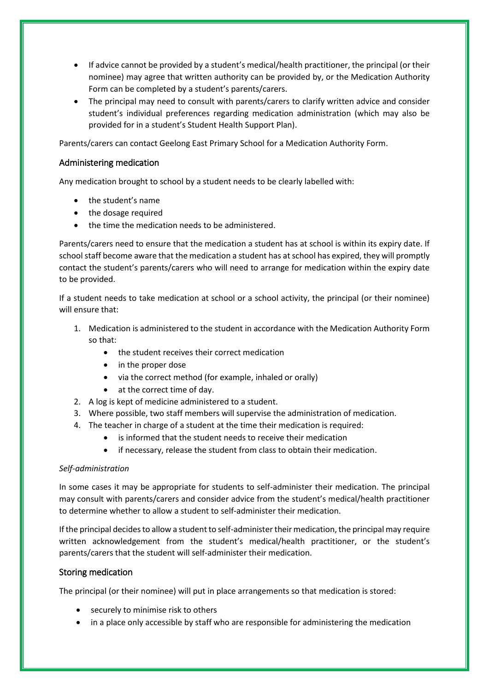- If advice cannot be provided by a student's medical/health practitioner, the principal (or their nominee) may agree that written authority can be provided by, or the Medication Authority Form can be completed by a student's parents/carers.
- The principal may need to consult with parents/carers to clarify written advice and consider student's individual preferences regarding medication administration (which may also be provided for in a student's Student Health Support Plan).

Parents/carers can contact Geelong East Primary School for a Medication Authority Form.

## Administering medication

Any medication brought to school by a student needs to be clearly labelled with:

- the student's name
- the dosage required
- the time the medication needs to be administered.

Parents/carers need to ensure that the medication a student has at school is within its expiry date. If school staff become aware that the medication a student has at school has expired, they will promptly contact the student's parents/carers who will need to arrange for medication within the expiry date to be provided.

If a student needs to take medication at school or a school activity, the principal (or their nominee) will ensure that:

- 1. Medication is administered to the student in accordance with the Medication Authority Form so that:
	- the student receives their correct medication
	- in the proper dose
	- via the correct method (for example, inhaled or orally)
	- at the correct time of day.
- 2. A log is kept of medicine administered to a student.
- 3. Where possible, two staff members will supervise the administration of medication.
- 4. The teacher in charge of a student at the time their medication is required:
	- is informed that the student needs to receive their medication
	- if necessary, release the student from class to obtain their medication.

#### *Self-administration*

In some cases it may be appropriate for students to self-administer their medication. The principal may consult with parents/carers and consider advice from the student's medical/health practitioner to determine whether to allow a student to self-administer their medication.

If the principal decides to allow a student to self-administer their medication, the principal may require written acknowledgement from the student's medical/health practitioner, or the student's parents/carers that the student will self-administer their medication.

#### Storing medication

The principal (or their nominee) will put in place arrangements so that medication is stored:

- securely to minimise risk to others
- in a place only accessible by staff who are responsible for administering the medication